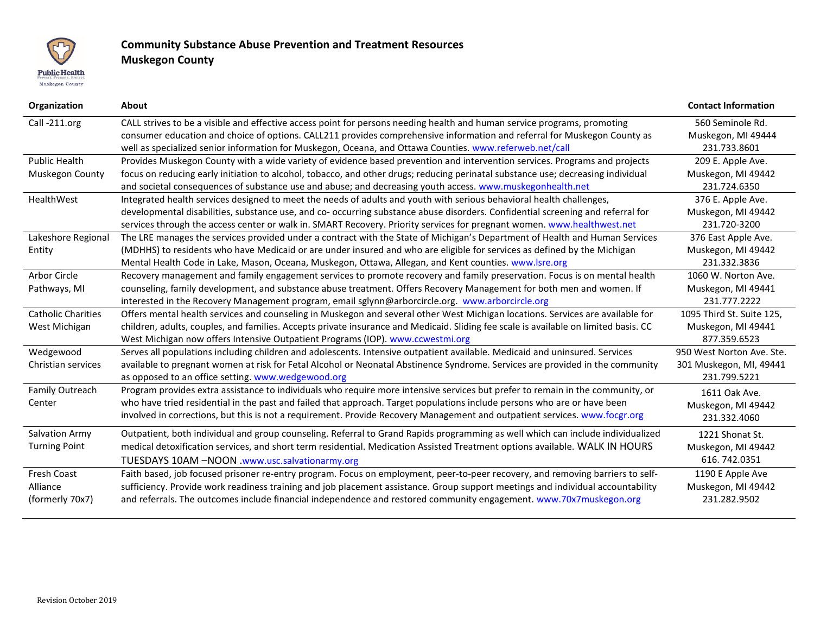

## **Community Substance Abuse Prevention and Treatment Resources Muskegon County**

| Organization              | <b>About</b>                                                                                                                         | <b>Contact Information</b> |
|---------------------------|--------------------------------------------------------------------------------------------------------------------------------------|----------------------------|
| Call-211.org              | CALL strives to be a visible and effective access point for persons needing health and human service programs, promoting             | 560 Seminole Rd.           |
|                           | consumer education and choice of options. CALL211 provides comprehensive information and referral for Muskegon County as             | Muskegon, MI 49444         |
|                           | well as specialized senior information for Muskegon, Oceana, and Ottawa Counties. www.referweb.net/call                              | 231.733.8601               |
| <b>Public Health</b>      | Provides Muskegon County with a wide variety of evidence based prevention and intervention services. Programs and projects           | 209 E. Apple Ave.          |
| Muskegon County           | focus on reducing early initiation to alcohol, tobacco, and other drugs; reducing perinatal substance use; decreasing individual     | Muskegon, MI 49442         |
|                           | and societal consequences of substance use and abuse; and decreasing youth access. www.muskegonhealth.net                            | 231.724.6350               |
| HealthWest                | Integrated health services designed to meet the needs of adults and youth with serious behavioral health challenges,                 | 376 E. Apple Ave.          |
|                           | developmental disabilities, substance use, and co- occurring substance abuse disorders. Confidential screening and referral for      | Muskegon, MI 49442         |
|                           | services through the access center or walk in. SMART Recovery. Priority services for pregnant women. www.healthwest.net              | 231.720-3200               |
| Lakeshore Regional        | The LRE manages the services provided under a contract with the State of Michigan's Department of Health and Human Services          | 376 East Apple Ave.        |
| Entity                    | (MDHHS) to residents who have Medicaid or are under insured and who are eligible for services as defined by the Michigan             | Muskegon, MI 49442         |
|                           | Mental Health Code in Lake, Mason, Oceana, Muskegon, Ottawa, Allegan, and Kent counties. www.lsre.org                                | 231.332.3836               |
| Arbor Circle              | Recovery management and family engagement services to promote recovery and family preservation. Focus is on mental health            | 1060 W. Norton Ave.        |
| Pathways, MI              | counseling, family development, and substance abuse treatment. Offers Recovery Management for both men and women. If                 | Muskegon, MI 49441         |
|                           | interested in the Recovery Management program, email sglynn@arborcircle.org. www.arborcircle.org                                     | 231.777.2222               |
| <b>Catholic Charities</b> | Offers mental health services and counseling in Muskegon and several other West Michigan locations. Services are available for       | 1095 Third St. Suite 125,  |
| West Michigan             | children, adults, couples, and families. Accepts private insurance and Medicaid. Sliding fee scale is available on limited basis. CC | Muskegon, MI 49441         |
|                           | West Michigan now offers Intensive Outpatient Programs (IOP). www.ccwestmi.org                                                       | 877.359.6523               |
| Wedgewood                 | Serves all populations including children and adolescents. Intensive outpatient available. Medicaid and uninsured. Services          | 950 West Norton Ave. Ste.  |
| Christian services        | available to pregnant women at risk for Fetal Alcohol or Neonatal Abstinence Syndrome. Services are provided in the community        | 301 Muskegon, MI, 49441    |
|                           | as opposed to an office setting. www.wedgewood.org                                                                                   | 231.799.5221               |
| Family Outreach           | Program provides extra assistance to individuals who require more intensive services but prefer to remain in the community, or       | 1611 Oak Ave.              |
| Center                    | who have tried residential in the past and failed that approach. Target populations include persons who are or have been             | Muskegon, MI 49442         |
|                           | involved in corrections, but this is not a requirement. Provide Recovery Management and outpatient services. www.focgr.org           | 231.332.4060               |
| <b>Salvation Army</b>     | Outpatient, both individual and group counseling. Referral to Grand Rapids programming as well which can include individualized      | 1221 Shonat St.            |
| <b>Turning Point</b>      | medical detoxification services, and short term residential. Medication Assisted Treatment options available. WALK IN HOURS          | Muskegon, MI 49442         |
|                           | TUESDAYS 10AM -NOON .www.usc.salvationarmy.org                                                                                       | 616.742.0351               |
| <b>Fresh Coast</b>        | Faith based, job focused prisoner re-entry program. Focus on employment, peer-to-peer recovery, and removing barriers to self-       | 1190 E Apple Ave           |
| Alliance                  | sufficiency. Provide work readiness training and job placement assistance. Group support meetings and individual accountability      | Muskegon, MI 49442         |
| (formerly 70x7)           | and referrals. The outcomes include financial independence and restored community engagement. www.70x7muskegon.org                   | 231.282.9502               |
|                           |                                                                                                                                      |                            |